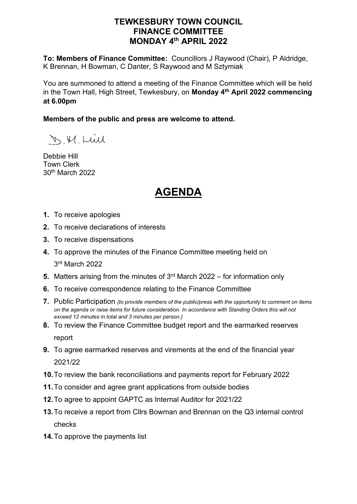# **TEWKESBURY TOWN COUNCIL FINANCE COMMITTEE MONDAY 4th APRIL 2022**

**To: Members of Finance Committee:** Councillors J Raywood (Chair), P Aldridge, K Brennan, H Bowman, C Danter, S Raywood and M Sztymiak

You are summoned to attend a meeting of the Finance Committee which will be held in the Town Hall, High Street, Tewkesbury, on **Monday 4th April 2022 commencing at 6.00pm**

### **Members of the public and press are welcome to attend.**

D. M. Lull

Debbie Hill Town Clerk 30th March 2022

# **AGENDA**

- **1.** To receive apologies
- **2.** To receive declarations of interests
- **3.** To receive dispensations
- **4.** To approve the minutes of the Finance Committee meeting held on 3rd March 2022
- **5.** Matters arising from the minutes of 3<sup>rd</sup> March 2022 for information only
- **6.** To receive correspondence relating to the Finance Committee
- **7.** Public Participation *(to provide members of the public/press with the opportunity to comment on items on the agenda or raise items for future consideration. In accordance with Standing Orders this will not exceed 12 minutes in total and 3 minutes per person.)*
- **8.** To review the Finance Committee budget report and the earmarked reserves report
- **9.** To agree earmarked reserves and virements at the end of the financial year 2021/22
- **10.**To review the bank reconciliations and payments report for February 2022
- **11.**To consider and agree grant applications from outside bodies
- **12.**To agree to appoint GAPTC as Internal Auditor for 2021/22
- **13.**To receive a report from Cllrs Bowman and Brennan on the Q3 internal control checks
- **14.**To approve the payments list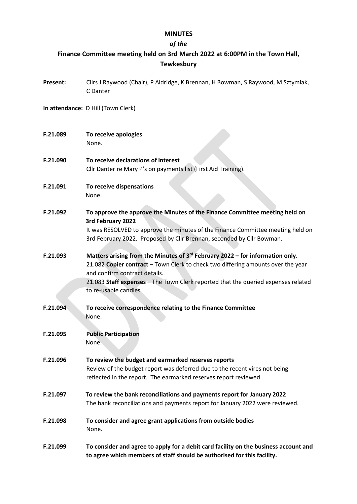### **MINUTES**

# *of the*

# **Finance Committee meeting held on 3rd March 2022 at 6:00PM in the Town Hall, Tewkesbury**

| Present: | Cllrs J Raywood (Chair), P Aldridge, K Brennan, H Bowman, S Raywood, M Sztymiak,<br>C Danter                                                                                                                                                                                                                                 |
|----------|------------------------------------------------------------------------------------------------------------------------------------------------------------------------------------------------------------------------------------------------------------------------------------------------------------------------------|
|          | In attendance: D Hill (Town Clerk)                                                                                                                                                                                                                                                                                           |
| F.21.089 | To receive apologies<br>None.                                                                                                                                                                                                                                                                                                |
| F.21.090 | To receive declarations of interest<br>Cllr Danter re Mary P's on payments list (First Aid Training).                                                                                                                                                                                                                        |
| F.21.091 | To receive dispensations<br>None.                                                                                                                                                                                                                                                                                            |
| F.21.092 | To approve the approve the Minutes of the Finance Committee meeting held on<br>3rd February 2022<br>It was RESOLVED to approve the minutes of the Finance Committee meeting held on<br>3rd February 2022. Proposed by Cllr Brennan, seconded by Cllr Bowman.                                                                 |
| F.21.093 | Matters arising from the Minutes of 3 <sup>rd</sup> February 2022 - for information only.<br>21.082 Copier contract - Town Clerk to check two differing amounts over the year<br>and confirm contract details.<br>21.083 Staff expenses - The Town Clerk reported that the queried expenses related<br>to re-usable candles. |
| F.21.094 | To receive correspondence relating to the Finance Committee<br>None.                                                                                                                                                                                                                                                         |
| F.21.095 | <b>Public Participation</b><br>None.                                                                                                                                                                                                                                                                                         |
| F.21.096 | To review the budget and earmarked reserves reports<br>Review of the budget report was deferred due to the recent vires not being<br>reflected in the report. The earmarked reserves report reviewed.                                                                                                                        |
| F.21.097 | To review the bank reconciliations and payments report for January 2022<br>The bank reconciliations and payments report for January 2022 were reviewed.                                                                                                                                                                      |
| F.21.098 | To consider and agree grant applications from outside bodies<br>None.                                                                                                                                                                                                                                                        |
| F.21.099 | To consider and agree to apply for a debit card facility on the business account and<br>to agree which members of staff should be authorised for this facility.                                                                                                                                                              |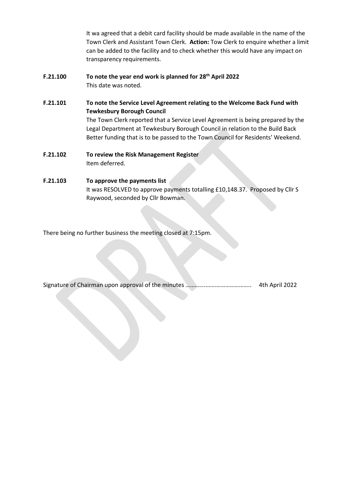It wa agreed that a debit card facility should be made available in the name of the Town Clerk and Assistant Town Clerk. **Action:** Tow Clerk to enquire whether a limit can be added to the facility and to check whether this would have any impact on transparency requirements.

- **F.21.100 To note the year end work is planned for 28<sup>th</sup> April 2022** This date was noted.
- **F.21.101 To note the Service Level Agreement relating to the Welcome Back Fund with Tewkesbury Borough Council** The Town Clerk reported that a Service Level Agreement is being prepared by the Legal Department at Tewkesbury Borough Council in relation to the Build Back Better funding that is to be passed to the Town Council for Residents' Weekend.
- **F.21.102 To review the Risk Management Register** Item deferred.

### **F.21.103 To approve the payments list** It was RESOLVED to approve payments totalling £10,148.37. Proposed by Cllr S Raywood, seconded by Cllr Bowman.

There being no further business the meeting closed at 7:15pm.

|  |  |  |  |  |  |  | 4th April 2022 |
|--|--|--|--|--|--|--|----------------|
|--|--|--|--|--|--|--|----------------|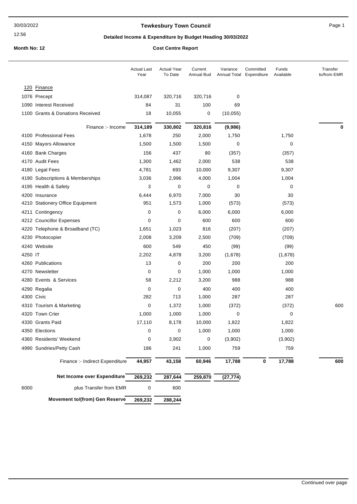12:56

### **Tewkesbury Town Council Council Page 1**

### **Detailed Income & Expenditure by Budget Heading 30/03/2022**

**Month No: 12 Cost Centre Report**

|         |                                       | <b>Actual Last</b><br>Year | <b>Actual Year</b><br>To Date | Current<br><b>Annual Bud</b> | Variance<br>Annual Total | Committed<br>Expenditure | Funds<br>Available | Transfer<br>to/from EMR |
|---------|---------------------------------------|----------------------------|-------------------------------|------------------------------|--------------------------|--------------------------|--------------------|-------------------------|
|         | 120 Finance                           |                            |                               |                              |                          |                          |                    |                         |
|         | 1076 Precept                          | 314,087                    | 320,716                       | 320,716                      | 0                        |                          |                    |                         |
|         | 1090 Interest Received                | 84                         | 31                            | 100                          | 69                       |                          |                    |                         |
|         | 1100 Grants & Donations Received      | 18                         | 10,055                        | 0                            | (10, 055)                |                          |                    |                         |
|         | Finance :- Income                     | 314,189                    | 330,802                       | 320,816                      | (9,986)                  |                          |                    | 0                       |
|         | 4100 Professional Fees                | 1,678                      | 250                           | 2,000                        | 1,750                    |                          | 1,750              |                         |
|         | 4150 Mayors Allowance                 | 1,500                      | 1,500                         | 1,500                        | 0                        |                          | 0                  |                         |
|         | 4160 Bank Charges                     | 156                        | 437                           | 80                           | (357)                    |                          | (357)              |                         |
|         | 4170 Audit Fees                       | 1,300                      | 1,462                         | 2,000                        | 538                      |                          | 538                |                         |
|         | 4180 Legal Fees                       | 4,781                      | 693                           | 10,000                       | 9,307                    |                          | 9,307              |                         |
|         | 4190 Subscriptions & Memberships      | 3,036                      | 2,996                         | 4,000                        | 1,004                    |                          | 1,004              |                         |
|         | 4195 Health & Safety                  | 3                          | 0                             | 0                            | 0                        |                          | 0                  |                         |
|         | 4200 Insurance                        | 6,444                      | 6,970                         | 7,000                        | 30                       |                          | 30                 |                         |
|         | 4210 Stationery Office Equipment      | 951                        | 1,573                         | 1,000                        | (573)                    |                          | (573)              |                         |
|         | 4211 Contingency                      | 0                          | 0                             | 6,000                        | 6,000                    |                          | 6,000              |                         |
|         | 4212 Councillor Expenses              | 0                          | 0                             | 600                          | 600                      |                          | 600                |                         |
|         | 4220 Telephone & Broadband (TC)       | 1,651                      | 1,023                         | 816                          | (207)                    |                          | (207)              |                         |
|         | 4230 Photocopier                      | 2,008                      | 3,209                         | 2,500                        | (709)                    |                          | (709)              |                         |
|         | 4240 Website                          | 600                        | 549                           | 450                          | (99)                     |                          | (99)               |                         |
| 4250 IT |                                       | 2,202                      | 4,878                         | 3,200                        | (1,678)                  |                          | (1,678)            |                         |
|         | 4260 Publications                     | 13                         | 0                             | 200                          | 200                      |                          | 200                |                         |
|         | 4270 Newsletter                       | 0                          | 0                             | 1,000                        | 1,000                    |                          | 1,000              |                         |
|         | 4280 Events & Services                | 58                         | 2,212                         | 3,200                        | 988                      |                          | 988                |                         |
|         | 4290 Regalia                          | 0                          | 0                             | 400                          | 400                      |                          | 400                |                         |
|         | 4300 Civic                            | 282                        | 713                           | 1,000                        | 287                      |                          | 287                |                         |
|         | 4310 Tourism & Marketing              | 0                          | 1,372                         | 1,000                        | (372)                    |                          | (372)              | 600                     |
|         | 4320 Town Crier                       | 1,000                      | 1,000                         | 1,000                        | 0                        |                          | 0                  |                         |
|         | 4330 Grants Paid                      | 17,110                     | 8,178                         | 10,000                       | 1,822                    |                          | 1,822              |                         |
|         | 4350 Elections                        | 0                          | 0                             | 1,000                        | 1,000                    |                          | 1,000              |                         |
|         | 4360 Residents' Weekend               | 0                          | 3,902                         | $\mathbf 0$                  | (3,902)                  |                          | (3,902)            |                         |
|         | 4990 Sundries/Petty Cash              | 186                        | 241                           | 1,000                        | 759                      |                          | 759                |                         |
|         | Finance :- Indirect Expenditure       | 44,957                     | 43,158                        | 60,946                       | 17,788                   | 0                        | 17,788             | 600                     |
|         | Net Income over Expenditure           | 269,232                    | 287,644                       | 259,870                      | (27, 774)                |                          |                    |                         |
| 6000    | plus Transfer from EMR                | 0                          | 600                           |                              |                          |                          |                    |                         |
|         | <b>Movement to/(from) Gen Reserve</b> | 269,232                    | 288,244                       |                              |                          |                          |                    |                         |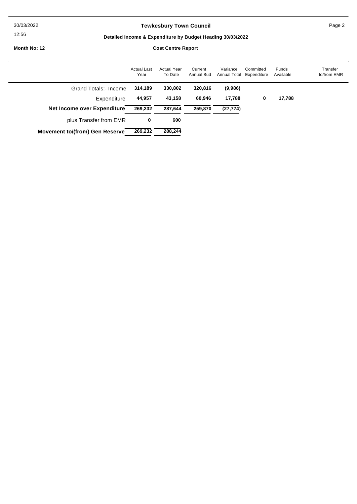30/03/2022

#### 12:56

### **Tewkesbury Town Council Page 2**

### **Detailed Income & Expenditure by Budget Heading 30/03/2022**

**Month No: 12 Cost Centre Report**

|                                       | <b>Actual Last</b><br>Year | <b>Actual Year</b><br>To Date | Current<br><b>Annual Bud</b> | Variance<br>Annual Total | Committed<br>Expenditure | Funds<br>Available | Transfer<br>to/from EMR |
|---------------------------------------|----------------------------|-------------------------------|------------------------------|--------------------------|--------------------------|--------------------|-------------------------|
| Grand Totals:- Income                 | 314,189                    | 330,802                       | 320,816                      | (9,986)                  |                          |                    |                         |
| Expenditure                           | 44,957                     | 43,158                        | 60,946                       | 17,788                   | 0                        | 17,788             |                         |
| Net Income over Expenditure           | 269,232                    | 287,644                       | 259,870                      | (27, 774)                |                          |                    |                         |
| plus Transfer from EMR                | 0                          | 600                           |                              |                          |                          |                    |                         |
| <b>Movement to/(from) Gen Reserve</b> | 269,232                    | 288,244                       |                              |                          |                          |                    |                         |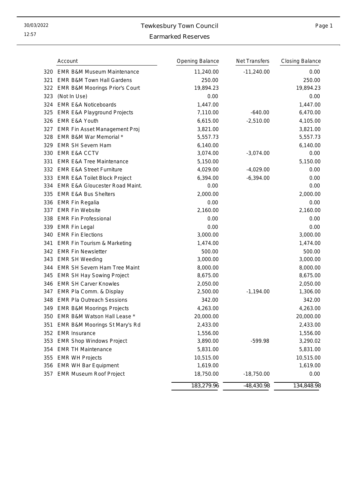# 30/03/2022 Tewkesbury Town Council

### Page 1

### Earmarked Reserves

|     | Account                                   | Opening Balance | Net Transfers | <b>Closing Balance</b> |
|-----|-------------------------------------------|-----------------|---------------|------------------------|
| 320 | <b>EMR B&amp;M Museum Maintenance</b>     | 11,240.00       | $-11,240.00$  | 0.00                   |
| 321 | <b>EMR B&amp;M Town Hall Gardens</b>      | 250.00          |               | 250.00                 |
| 322 | EMR B&M Moorings Prior's Court            | 19,894.23       |               | 19,894.23              |
| 323 | (Not In Use)                              | 0.00            |               | 0.00                   |
| 324 | <b>EMR E&amp;A Noticeboards</b>           | 1,447.00        |               | 1,447.00               |
| 325 | <b>EMR E&amp;A Playground Projects</b>    | 7,110.00        | $-640.00$     | 6,470.00               |
| 326 | <b>EMR E&amp;A Youth</b>                  | 6,615.00        | $-2,510.00$   | 4,105.00               |
| 327 | EMR Fin Asset Management Proj             | 3,821.00        |               | 3,821.00               |
| 328 | EMR B&M War Memorial *                    | 5,557.73        |               | 5,557.73               |
| 329 | <b>EMR SH Severn Ham</b>                  | 6,140.00        |               | 6,140.00               |
| 330 | <b>EMR E&amp;A CCTV</b>                   | 3,074.00        | $-3,074.00$   | 0.00                   |
| 331 | <b>EMR E&amp;A Tree Maintenance</b>       | 5,150.00        |               | 5,150.00               |
| 332 | <b>EMR E&amp;A Street Furniture</b>       | 4,029.00        | $-4,029.00$   | 0.00                   |
| 333 | <b>EMR E&amp;A Toilet Block Project</b>   | 6,394.00        | $-6,394.00$   | 0.00                   |
| 334 | <b>EMR E&amp;A Gloucester Road Maint.</b> | 0.00            |               | 0.00                   |
| 335 | <b>EMR E&amp;A Bus Shelters</b>           | 2,000.00        |               | 2,000.00               |
| 336 | <b>EMR Fin Regalia</b>                    | 0.00            |               | 0.00                   |
| 337 | <b>EMR Fin Website</b>                    | 2,160.00        |               | 2,160.00               |
| 338 | <b>EMR Fin Professional</b>               | 0.00            |               | 0.00                   |
| 339 | <b>EMR Fin Legal</b>                      | 0.00            |               | 0.00                   |
| 340 | <b>EMR Fin Elections</b>                  | 3,000.00        |               | 3,000.00               |
| 341 | <b>EMR Fin Tourism &amp; Marketing</b>    | 1,474.00        |               | 1,474.00               |
| 342 | <b>EMR Fin Newsletter</b>                 | 500.00          |               | 500.00                 |
| 343 | <b>EMR SH Weeding</b>                     | 3,000.00        |               | 3,000.00               |
| 344 | EMR SH Severn Ham Tree Maint              | 8,000.00        |               | 8,000.00               |
| 345 | <b>EMR SH Hay Sowing Project</b>          | 8,675.00        |               | 8,675.00               |
| 346 | <b>EMR SH Carver Knowles</b>              | 2,050.00        |               | 2,050.00               |
| 347 | EMR Pla Comm. & Display                   | 2,500.00        | $-1,194.00$   | 1,306.00               |
| 348 | <b>EMR Pla Outreach Sessions</b>          | 342.00          |               | 342.00                 |
| 349 | <b>EMR B&amp;M Moorings Projects</b>      | 4,263.00        |               | 4,263.00               |
| 350 | EMR B&M Watson Hall Lease *               | 20,000.00       |               | 20,000.00              |
|     | 351 EMR B&M Moorings St Mary's Rd         | 2,433.00        |               | 2,433.00               |
|     | 352 EMR Insurance                         | 1,556.00        |               | 1,556.00               |
| 353 | <b>EMR Shop Windows Project</b>           | 3,890.00        | -599.98       | 3,290.02               |
| 354 | <b>EMR TH Maintenance</b>                 | 5,831.00        |               | 5,831.00               |
| 355 | <b>EMR WH Projects</b>                    | 10,515.00       |               | 10,515.00              |
| 356 | <b>EMR WH Bar Equipment</b>               | 1,619.00        |               | 1,619.00               |
| 357 | <b>EMR Museum Roof Project</b>            | 18,750.00       | $-18,750.00$  | 0.00                   |
|     |                                           | 183,279.96      | $-48,430.98$  | 134,848.98             |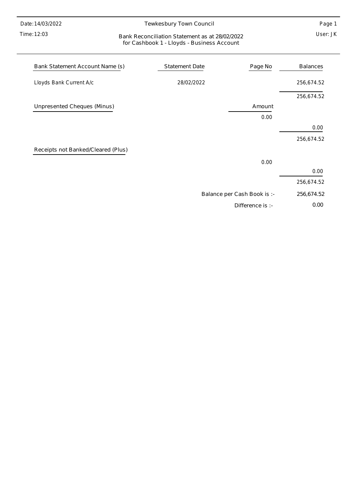Time: 12:03

### Tewkesbury Town Council

Page 1

#### User: JK Bank Reconciliation Statement as at 28/02/2022 for Cashbook 1 - Lloyds - Business Account

| Bank Statement Account Name (s)    | Statement Date | Page No                     | <b>Balances</b> |
|------------------------------------|----------------|-----------------------------|-----------------|
| Lloyds Bank Current A/c            | 28/02/2022     |                             | 256,674.52      |
|                                    |                |                             | 256,674.52      |
| Unpresented Cheques (Minus)        |                | Amount                      |                 |
|                                    |                | 0.00                        |                 |
|                                    |                |                             | 0.00            |
|                                    |                |                             | 256,674.52      |
| Receipts not Banked/Cleared (Plus) |                |                             |                 |
|                                    |                | 0.00                        |                 |
|                                    |                |                             | 0.00            |
|                                    |                |                             | 256,674.52      |
|                                    |                | Balance per Cash Book is :- | 256,674.52      |
|                                    |                | Difference is :-            | 0.00            |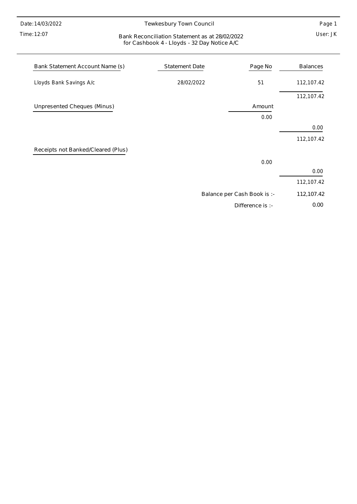12:07 Time:

### Tewkesbury Town Council

Page 1

#### User: JK Bank Reconciliation Statement as at 28/02/2022 for Cashbook 4 - Lloyds - 32 Day Notice A/C

| Bank Statement Account Name (s)    | <b>Statement Date</b> | Page No                     | <b>Balances</b> |
|------------------------------------|-----------------------|-----------------------------|-----------------|
| Lloyds Bank Savings A/c            | 28/02/2022            | 51                          | 112,107.42      |
|                                    |                       |                             | 112,107.42      |
| Unpresented Cheques (Minus)        |                       | Amount                      |                 |
|                                    |                       | 0.00                        |                 |
|                                    |                       |                             | 0.00            |
|                                    |                       |                             | 112,107.42      |
| Receipts not Banked/Cleared (Plus) |                       |                             |                 |
|                                    |                       | 0.00                        |                 |
|                                    |                       |                             | 0.00            |
|                                    |                       |                             | 112,107.42      |
|                                    |                       | Balance per Cash Book is :- | 112,107.42      |
|                                    |                       | Difference is :-            | 0.00            |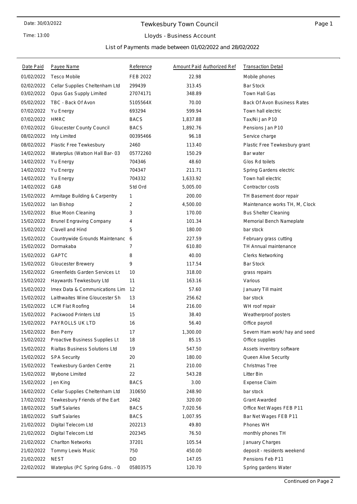Time: 13:00

### Tewkesbury Town Council

### Lloyds - Business Account

List of Payments made between 01/02/2022 and 28/02/2022

| Date Paid  | Payee Name                      | Reference   | Amount Paid Authorized Ref | <b>Transaction Detail</b>          |
|------------|---------------------------------|-------------|----------------------------|------------------------------------|
| 01/02/2022 | <b>Tesco Mobile</b>             | FEB 2022    | 22.98                      | Mobile phones                      |
| 02/02/2022 | Cellar Supplies Cheltenham Ltd  | 299439      | 313.45                     | <b>Bar Stock</b>                   |
| 03/02/2022 | Opus Gas Supply Limited         | 27074171    | 348.89                     | Town Hall Gas                      |
| 05/02/2022 | TBC - Back Of Avon              | 5105564X    | 70.00                      | <b>Back Of Avon Business Rates</b> |
| 07/02/2022 | Yu Energy                       | 693294      | 599.94                     | Town hall electric                 |
| 07/02/2022 | <b>HMRC</b>                     | <b>BACS</b> | 1.837.88                   | Tax/Ni Jan P10                     |
| 07/02/2022 | Gloucester County Council       | <b>BACS</b> | 1,892.76                   | Pensions Jan P10                   |
| 08/02/2022 | Inty Limited                    | 00395466    | 96.18                      | Service charge                     |
| 08/02/2022 | Plastic Free Tewkesbury         | 2460        | 113.40                     | Plastic Free Tewkesbury grant      |
| 14/02/2022 | Waterplus (Watson Hall Bar- 03  | 05772260    | 150.29                     | Bar water                          |
| 14/02/2022 | Yu Energy                       | 704346      | 48.60                      | Glos Rd toilets                    |
| 14/02/2022 | Yu Energy                       | 704347      | 211.71                     | Spring Gardens electric            |
| 14/02/2022 | Yu Energy                       | 704332      | 1,633.92                   | Town hall electric                 |
| 14/02/2022 | GAB                             | Std Ord     | 5,005.00                   | Contractor costs                   |
| 15/02/2022 | Armitage Building & Carpentry   | 1           | 200.00                     | TH Basement door repair            |
| 15/02/2022 | lan Bishop                      | 2           | 4,500.00                   | Maintenance works TH, M, Clock     |
| 15/02/2022 | <b>Blue Moon Cleaning</b>       | 3           | 170.00                     | <b>Bus Shelter Cleaning</b>        |
| 15/02/2022 | <b>Brunel Engraving Company</b> | 4           | 101.34                     | Memorial Bench Nameplate           |
| 15/02/2022 | Clavell and Hind                | 5           | 180.00                     | bar stock                          |
| 15/02/2022 | Countrywide Grounds Maintenanc  | 6           | 227.59                     | February grass cutting             |
| 15/02/2022 | Dormakaba                       | 7           | 610.80                     | TH Annual maintenance              |
| 15/02/2022 | <b>GAPTC</b>                    | 8           | 40.00                      | <b>Clerks Networking</b>           |
| 15/02/2022 | <b>Gloucester Brewery</b>       | 9           | 117.54                     | <b>Bar Stock</b>                   |
| 15/02/2022 | Greenfields Garden Services Lt  | 10          | 318.00                     | grass repairs                      |
| 15/02/2022 | Haywards Tewkesbury Ltd         | 11          | 163.16                     | Various                            |
| 15/02/2022 | Imex Data & Communications Lim  | 12          | 57.60                      | January Till maint                 |
| 15/02/2022 | Laithwaites Wine Gloucester Sh  | 13          | 256.62                     | bar stock                          |
| 15/02/2022 | <b>LCM Flat Roofing</b>         | 14          | 216.00                     | WH roof repair                     |
| 15/02/2022 | Packwood Printers Ltd           | 15          | 38.40                      | Weatherproof posters               |
| 15/02/2022 | PAYROLLS UK LTD                 | 16          | 56.40                      | Office payroll                     |
| 15/02/2022 | Ben Perry                       | 17          | 1,300.00                   | Severn Ham work/ hay and seed      |
| 15/02/2022 | Proactive Business Supplies Lt  | 18          | 85.15                      | Office supplies                    |
| 15/02/2022 | Rialtas Business Solutions Ltd  | 19          | 547.50                     | Assets inventory software          |
| 15/02/2022 | <b>SPA Security</b>             | 20          | 180.00                     | Queen Alive Security               |
| 15/02/2022 | Tewkesbury Garden Centre        | 21          | 210.00                     | Christmas Tree                     |
| 15/02/2022 | Wybone Limited                  | 22          | 543.28                     | Litter Bin                         |
| 15/02/2022 | Jen King                        | <b>BACS</b> | 3.00                       | <b>Expense Claim</b>               |
| 16/02/2022 | Cellar Supplies Cheltenham Ltd  | 310650      | 248.90                     | bar stock                          |
| 17/02/2022 | Tewkesbury Friends of the Eart  | 2462        | 320.00                     | <b>Grant Awarded</b>               |
| 18/02/2022 | <b>Staff Salaries</b>           | <b>BACS</b> | 7,020.56                   | Office Net Wages FEB P11           |
| 18/02/2022 | <b>Staff Salaries</b>           | <b>BACS</b> | 1,007.95                   | Bar Net Wages FEB P11              |
| 21/02/2022 | Digital Telecom Ltd             | 202213      | 49.80                      | Phones WH                          |
| 21/02/2022 | Digital Telecom Ltd             | 202345      | 76.50                      | monthly phones TH                  |
| 21/02/2022 | <b>Charlton Networks</b>        | 37201       | 105.54                     | January Charges                    |
| 21/02/2022 | Tommy Lewis Music               | 750         | 450.00                     | deposit - residents weekend        |
| 21/02/2022 | <b>NEST</b>                     | DD          | 147.05                     | Pensions Feb P11                   |
| 22/02/2022 | Waterplus (PC Spring Gdns. - 0  | 05803575    | 120.70                     | Spring gardens Water               |
|            |                                 |             |                            |                                    |